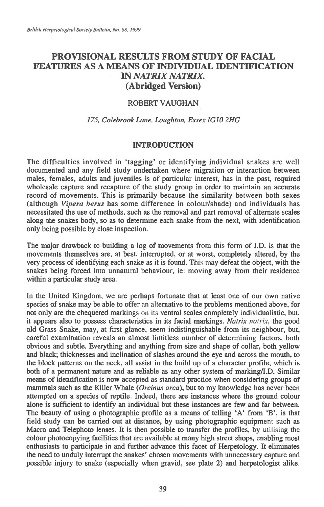# **PROVISIONAL RESULTS FROM STUDY OF FACIAL FEATURES AS A MEANS OF INDIVIDUAL IDENTIFICATION IN** *NATRIX NATRIX.*  **(Abridged Version)**

### ROBERT VAUGHAN

### *175, Colebrook Lane, Loughton, Essex IGIO 2HG*

# **INTRODUCTION**

The difficulties involved in 'tagging' or identifying individual snakes are well documented and any field study undertaken where migration or interaction between males, females, adults and juveniles is of particular interest, has in the past, required wholesale capture and recapture of the study group in order to maintain an accurate record of movements. This is primarily because the similarity between both sexes (although *Vipera berus* has some difference in colour/shade) and individuals has necessitated the use of methods, such as the removal and part removal of alternate scales along the snakes body, so as to determine each snake from the next, with identification only being possible by close inspection.

The major drawback to building a log of movements from this form of **I.D.** is that the movements themselves are, at best, interrupted, or at worst, completely altered, by the very process of identifying each snake as it is found. This may defeat the object, with the snakes being forced into unnatural behaviour, ie: moving away from their residence within a particular study area.

In the United Kingdom, we are perhaps fortunate that at least one of our own native species of snake may be able to offer an alternative to the problems mentioned above, for not only are the chequered markings on its ventral scales completely individualistic, but, it appears also to possess characteristics in its facial markings. *Natrix nairix,* the good old Grass Snake, may, at first glance, seem indistinguishable from its neighbour, but, careful examination reveals an almost limitless number of determining factors, both obvious and subtle. Everything and anything from size and shape of collar, both yellow and black; thicknesses and inclination of slashes around the eye and across the mouth, to the block patterns on the neck, all assist in the build up of a character profile, which is both of a permanent nature and as reliable as any other system of marking/I.D. Similar means of identification is now accepted as standard practice when considering groups of mammals such as the Killer Whale *(Orcinus orca),* but to my knowledge has never been attempted on a species of reptile. Indeed, there are instances where the ground colour alone is sufficient to identify an individual but these instances are few and far between. The beauty of using a photographic profile as a means of telling 'A' from **'13',** is that field study can be carried out at distance, by using photographic equipment such as Macro and Telephoto lenses. It is then possible to transfer the profiles, by utilising the colour photocopying facilities that are available at many high street shops, enabling most enthusiasts to participate in and further advance this facet of Herpetology. It eliminates the need to unduly interrupt the snakes' chosen movements with unnecessary capture and possible injury to snake (especially when gravid, see plate 2) and herpetologist alike.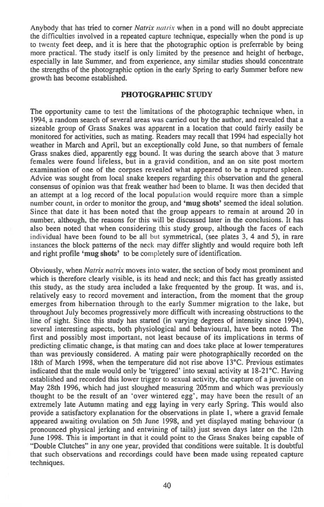Anybody that has tried to corner *Natrix natrix* when in a pond will no doubt appreciate the difficulties involved in a repeated capture technique, especially when the pond is up to twenty feet deep, and it is here that the photographic option is preferrable by being more practical. The study itself is only limited by the presence and height of herbage, especially in late Summer, and from experience, any similar studies should concentrate the strengths of the photographic option in the early Spring to early Summer before new growth has become established.

# **PHOTOGRAPHIC STUDY**

The opportunity came to test the limitations of the photographic technique when, in 1994, a random search of several areas was carried out by the author, and revealed that a sizeable group of Grass Snakes was apparent in a location that could fairly easily be monitored for activities, such as mating. Readers may recall that 1994 had especially hot weather in March and April, but an exceptionally cold June, so that numbers of female Grass snakes died, apparently egg bound. It was during the search above that 3 mature females were found lifeless, but in a gravid condition, and an on site post mortem examination of one of the corpses revealed what appeared to be a ruptured spleen. Advice was sought from local snake keepers regarding this observation and the general consensus of opinion was that freak weather had been to blame. It was then decided that an attempt at a log record of the local population would require more than a simple number count, in order to monitor the group, and **'mug shots'** seemed the ideal solution. Since that date it has been noted that the group appears to remain at around 20 in number, although, the reasons for this will be discussed later in the conclusions. It has also been noted that when considering this study group, although the faces of each individual have been found to be all **but** symmetrical, (see plates 3, 4 and 5), in rare instances the block patterns of the neck may differ slightly and would require both left and right profile **'mug shots'** to be completely sure of identification.

Obviously, when Natrix natrix moves into water, the section of body most prominent and which is therefore clearly visible, is its head and neck; and this fact has greatly assisted this study, as the study area included a lake frequented by the group. It was, and is, relatively easy to record movement and interaction, from the moment that the group emerges from hibernation through to the early Summer migration to the lake, but throughout July becomes progressively more difficult with increasing obstructions to the line of sight. Since this study has started (in varying degrees of intensity since 1994), several interesting aspects, both physiological and behavioural, have been noted. The first and possibly most important, not least because of its implications in terms of predicting climatic change, is that mating can and does take place at lower temperatures than was previously considered. A mating pair were photographically recorded on the 18th of March 1998, when the temperature did not rise above 13°C. Previous estimates indicated that the male would only be 'triggered' into sexual activity at 18-21°C. Having established and recorded this lower trigger to sexual activity, the capture of a juvenile on May 28th 1996, which had just sloughed measuring 205mm and which was previously thought to be the result of an 'over wintered egg', may have been the result of an extremely late Autumn mating and egg laying in very early Spring. This would also provide a satisfactory explanation for the observations in plate 1, where a gravid female appeared awaiting ovulation on 5th June 1998, and yet displayed mating behaviour (a pronounced physical jerking and entwining of tails) just seven days later on the 12th June 1998. This is important in that it could point to the Grass Snakes being capable of "Double Clutches" in any one year, provided that conditions were suitable. It is doubtful that such observations and recordings could have been made using repeated capture techniques.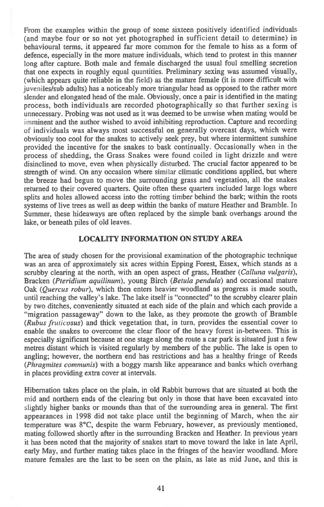From the examples within the group of some sixteen positively identified individuals (and maybe four or so not yet photographed in sufficient detail to determine) in behavioural terms, it appeared far more common for the female to hiss as a form of defence, especially in the more mature individuals, which tend to protest in this manner long after capture. Both male and female discharged the usual foul smelling secretion that one expects in roughly equal quantities. Preliminary sexing was assumed visually, (which appears quite reliable in the field) as the mature female (it is more difficult with juveniles/sub adults) has a noticeably more triangular head as opposed to the rather more slender and elongated head of the male. Obviously, once a pair is identified in the mating process, both individuals are recorded photographically so that further sexing is unnecessary. Probing was not used as it was deemed to be unwise when mating would be imminent and the author wished to avoid inhibiting reproduction. Capture and recording of individuals was always most successful on generally overcast days, which were obviously too cool for the snakes to actively seek prey, but where intermittent sunshine provided the incentive for the snakes to bask continually. Occasionally when in the process of shedding, the Grass Snakes were found coiled in light drizzle and were disinclined to move, even when physically disturbed. The crucial factor appeared to be strength of wind. On any occasion where similar climatic conditions applied, but where the breeze had begun to move the surrounding grass and vegetation, all the snakes returned to their covered quarters. Quite often these quarters included large logs where splits and holes allowed access into the rotting timber behind the bark; within the roots systems of live trees as well as deep within the banks of mature Heather and Bramble. In Summer, these hideaways are often replaced by the simple bank overhangs around the lake, or beneath piles of old leaves.

#### **LOCALITY INFORMATION ON STUDY AREA**

The area of study chosen for the provisional examination of the photographic technique was an area of approximately six acres within Epping Forest, Essex, which stands as a scrubby clearing at the north, with an open aspect of grass, Heather *(Calluna vulgaris),*  Bracken *(Pteridium aquilinum),* young Birch *(Betula pendula)* and occasional mature Oak *(Quercus robur),* which then enters heavier woodland as progress is made south, until reaching the valley's lake. The lake itself is "connected" to the scrubby clearer plain by two ditches, conveniently situated at each side of the plain and which each provide a "migration passageway" down to the lake, as they promote the growth of Bramble *(Rubus fruticosus)* and thick vegetation that, in turn, provides the essential cover to enable the snakes to overcome the clear floor of the heavy forest in-between. This is especially significant because at one stage along the route a car park is situated just a few metres distant which is visited regularly by members of the public. The lake is open to angling; however, the northern end has restrictions and has a healthy fringe of Reeds *(Phragmites communis)* with a boggy marsh like appearance and banks which overhang in places providing extra cover at intervals.

Hibernation takes place on the plain, in old Rabbit burrows that are situated at both the mid and northern ends of the clearing but only in those that have been excavated into slightly higher banks or mounds than that of the surrounding area in general. The first appearances in 1998 did not take place until the beginning of March, when the air temperature was 8°C, despite the warm February, however, as previously mentioned, mating followed shortly after in the surrounding Bracken and Heather. In previous years it has been noted that the majority of snakes start to move toward the lake in late April, early May, and further mating takes place in the fringes of the heavier woodland. More mature females are the last to be seen on the plain, as late as mid June, and this is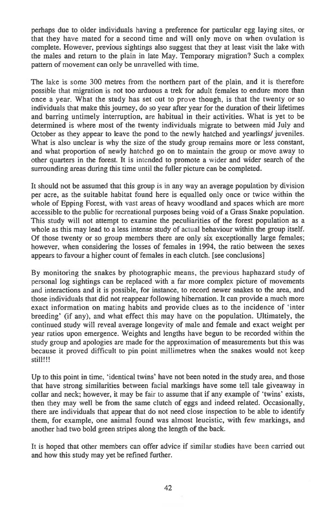perhaps due to older individuals having a preference for particular egg laying sites, or that they have mated for a second time and will only move on when ovulation is complete. However, previous sightings also suggest that they at least visit the lake with the males and return to the plain in late May. Temporary migration? Such a complex pattern of movement can only be unravelled with time.

The lake is some 300 metres from the northern part of the plain, and it is therefore possible that migration is not too arduous a trek for adult females to endure more than once a year. What the study has set out to prove though, is that the twenty or so individuals that make this journey, do so year after year for the duration of their lifetimes and barring untimely interruption, are habitual in their activities. What is yet to be determined is where most of the twenty individuals migrate to between mid July and October as they appear to leave the pond to the newly hatched and yearlings/ juveniles. What is also unclear is why the size of the study group remains more or less constant, and what proportion of newly hatched go on to maintain the group or move away to other quarters in the forest. It is intended to promote a wider and wider search of the surrounding areas during this time until the fuller picture can be completed.

It should not be assumed that this group is in any way an average population by division per acre, as the suitable habitat found here is equalled only once or twice within the whole of Epping Forest, with vast areas of heavy woodland and spaces which are more accessible to the public for recreational purposes being void of a Grass Snake population. This study will not attempt to examine the peculiarities of the forest population as a whole as this may lead to a less intense study of actual behaviour within the group itself. Of those twenty or so group members there are only six exceptionally large females; however, when considering the losses of females in 1994, the ratio between the sexes appears to favour a higher count of females in each clutch. [see conclusions]

By monitoring the snakes by photographic means, the previous haphazard study of personal log sightings can be replaced with a far more complex picture of movements and interactions and it is possible, for instance, to record newer snakes to the area, and those individuals that did not reappear following hibernation. It can provide a much more exact information on mating habits and provide clues as to the incidence of 'inter breeding' (if any), and what effect this may have on the population. Ultimately, the continued study will reveal average longevity of male and female and exact weight per year ratios upon emergence. Weights and lengths have begun to be recorded within the study group and apologies are made for the approximation of measurements but this was because it proved difficult to pin point millimetres when the snakes would not keep still!!!

Up to this point in time, 'identical twins' have not been noted in the study area, and those that have strong similarities between facial markings have some tell tale giveaway in collar and neck; however, it may be fair to assume that if any example of 'twins' exists, then they may well be from the same clutch of eggs and indeed related. Occasionally, there are individuals that appear that do not need close inspection to be able to identify them, for example, one animal found was almost leucistic, with few markings, and another had two bold green stripes along the length of the back.

It is hoped that other members can offer advice if similar studies have been carried out and how this study may yet be refined further.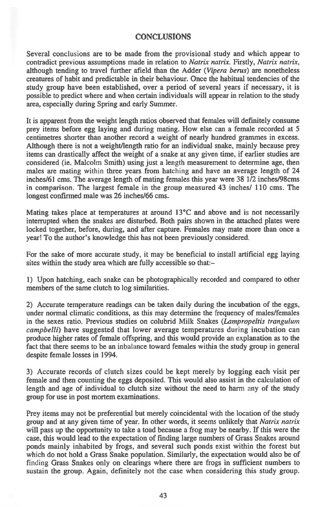#### **CONCLUSIONS**

Several conclusions are to be made from the provisional study and which appear to contradict previous assumptions made in relation to *Natrix natrix.* Firstly, *Natrix natrix,*  although tending to travel further afield than the Adder *(Vipera berus)* are nonetheless creatures of habit and predictable in their behaviour. Once the habitual tendencies of the study group have been established, over a period of several years if necessary, it is possible to predict where and when certain individuals will appear in relation to the study area, especially during Spring and early Summer.

It is apparent from the weight length ratios observed that females will definitely consume prey items before egg laying and during mating. How else can a female recorded at 5 centimetres shorter than another record a weight of nearly hundred grammes in excess. Although there is not a weight/length ratio for an individual snake, mainly because prey items can drastically affect the weight of a snake at any given time, if earlier studies are considered (ie. Malcolm Smith) using just a length measurement to determine age, then males are mating within three years from hatching and have an average length of 24 inches/61 cms. The average length of mating females this year were 38 1/2 inches/98cms in comparison. The largest female in the group measured 43 inches/ 110 cms. The longest confirmed male was 26 inches/66 cms.

Mating takes place at temperatures at around 13°C and above and is not necessarily interrupted when the snakes are disturbed. Both pairs shown in the attached plates were locked together, before, during, and after capture. Females may mate more than once a year! To the author's knowledge this has not been previously considered.

For the sake of more accurate study, it may be beneficial to install artificial egg laying sites within the study area which are fully accessible so that:-

1) Upon hatching, each snake can be photographically recorded and compared to other members of the same clutch to log similarities.

2) Accurate temperature readings can be taken daily during the incubation of the eggs, under normal climatic conditions, as this may determine the frequency of males/females in the sexes ratio. Previous studies on colubrid Milk Snakes *(Lampropeltis trangulum campbelli)* have suggested that lower average temperatures during incubation can produce higher rates of female offspring, and this would provide an explanation as to the fact that there seems to be an inbalance toward females within the study group in general despite female losses in 1994.

3) Accurate records of clutch sizes could be kept merely by logging each visit per female and then counting the eggs deposited. This would also assist in the calculation of length and age of individual to clutch size without the need to harm any of the study group for use in post mortem examinations.

Prey items may not be preferential but merely coincidental with the location of the study group and at any given time of year. In other words, it seems unlikely that *Natrix natrix*  will pass up the opportunity to take a toad because a frog may be nearby. If this were the case, this would lead to the expectation of finding large numbers of Grass Snakes around ponds mainly inhabited by frogs, and several such ponds exist within the forest but which do not hold a Grass Snake population. Similarly, the expectation would also be of finding Grass Snakes only on clearings where there are frogs in sufficient numbers to sustain the group. Again, definitely not the case when considering this study group.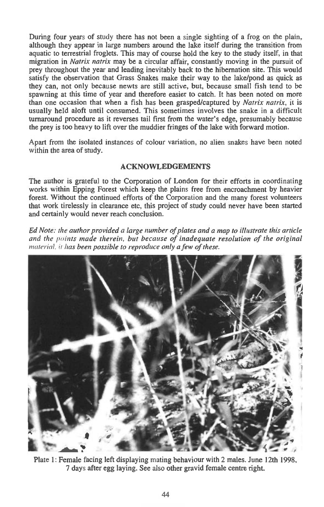**During four years of study there has not been a single sighting of a frog on the plain, although they appear in large numbers around the lake itself during the transition from aquatic to terrestrial froglets. This may of course hold the key to the study itself, in that migration in** *Natrix natrix* **may be a circular affair, constantly moving in the pursuit of prey throughout the year and leading inevitably back to the hibernation site. This would satisfy the observation that Grass Snakes make their way to the lake/pond as quick as they can, not only because newts are still active, but, because small fish tend to be spawning at this time of year and therefore easier to catch. It has been noted on more than one occasion that when a fish has been grasped/captured by** *Natrix natrix,* **it is usually held aloft until consumed. This sometimes involves the snake in a difficult turnaround procedure as it reverses tail first from the water's edge, presumably because the prey is too heavy to lift over the muddier fringes of the lake with forward motion.** 

**Apart from the isolated instances of colour variation, no alien snakes have been noted within the area of study.** 

# **ACKNOWLEDGEMENTS**

**The author is grateful to the Corporation of London for their efforts in coordinating works within Epping Forest which keep the plains free from encroachment by heavier forest. Without the continued efforts of the Corporation and the many forest volunteers that work tirelessly in clearance etc, this project of study could never have been started and certainly would never reach conclusion.** 

*Ed Note: the author provided a large number of plates and a map to illustrate this article and the points made therein, but because of inadequate resolution of the original*  material, it *has been possible to reproduce only a few of these.* 



**Plate 1: Female facing left displaying mating behaviour with 2 males. June 12th 1998, 7 days after egg laying. See also other gravid female centre right.**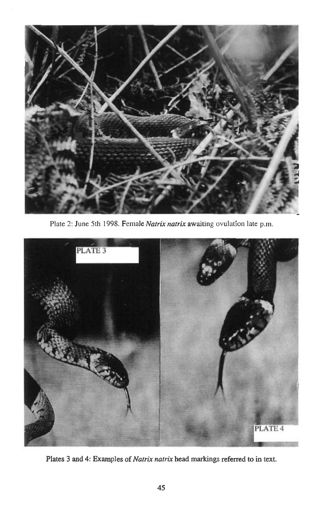

Plate 2: June 5th 1998. Female *Natrix natrix* awaiting ovulation late p.m.



Plates 3 **and 4: Examples of** *Natrix natrix* **head markings referred to in text.**